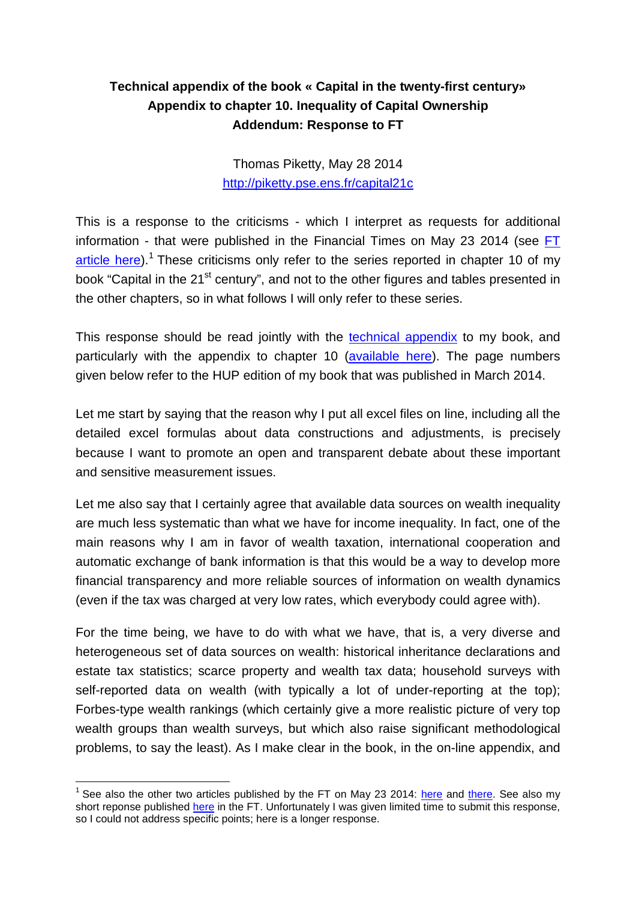# **Technical appendix of the book « Capital in the twenty-first century» Appendix to chapter 10. Inequality of Capital Ownership Addendum: Response to FT**

Thomas Piketty, May 28 2014 <http://piketty.pse.ens.fr/capital21c>

This is a response to the criticisms - which I interpret as requests for additional information - that were published in the Financial Times on May 23 2014 (see [FT](http://piketty.pse.ens.fr/files/capital21c/en/media/FT23052014c.pdf)  [article here\)](http://piketty.pse.ens.fr/files/capital21c/en/media/FT23052014c.pdf).<sup>[1](#page-0-0)</sup> These criticisms only refer to the series reported in chapter 10 of my book "Capital in the 21<sup>st</sup> century", and not to the other figures and tables presented in the other chapters, so in what follows I will only refer to these series.

This response should be read jointly with the [technical appendix](http://piketty.pse.ens.fr/files/capital21c/en/Piketty2014TechnicalAppendix.pdf) to my book, and particularly with the appendix to chapter 10 [\(available](http://piketty.pse.ens.fr/files/capital21c/en/Piketty2014TechnicalAppendixChap10.pdf) here). The page numbers given below refer to the HUP edition of my book that was published in March 2014.

Let me start by saying that the reason why I put all excel files on line, including all the detailed excel formulas about data constructions and adjustments, is precisely because I want to promote an open and transparent debate about these important and sensitive measurement issues.

Let me also say that I certainly agree that available data sources on wealth inequality are much less systematic than what we have for income inequality. In fact, one of the main reasons why I am in favor of wealth taxation, international cooperation and automatic exchange of bank information is that this would be a way to develop more financial transparency and more reliable sources of information on wealth dynamics (even if the tax was charged at very low rates, which everybody could agree with).

For the time being, we have to do with what we have, that is, a very diverse and heterogeneous set of data sources on wealth: historical inheritance declarations and estate tax statistics; scarce property and wealth tax data; household surveys with self-reported data on wealth (with typically a lot of under-reporting at the top); Forbes-type wealth rankings (which certainly give a more realistic picture of very top wealth groups than wealth surveys, but which also raise significant methodological problems, to say the least). As I make clear in the book, in the on-line appendix, and

<span id="page-0-0"></span><sup>&</sup>lt;sup>1</sup> See also the other two articles published by the FT on May 23 2014: [here](http://piketty.pse.ens.fr/files/capital21c/en/media/FT23052014a.pdf) and [there.](http://piketty.pse.ens.fr/files/capital21c/en/media/FT23052014b.pdf) See also my short reponse published [here](http://piketty.pse.ens.fr/files/capital21c/en/media/FT23052014d.pdf) in the FT. Unfortunately I was given limited time to submit this response, so I could not address specific points; here is a longer response.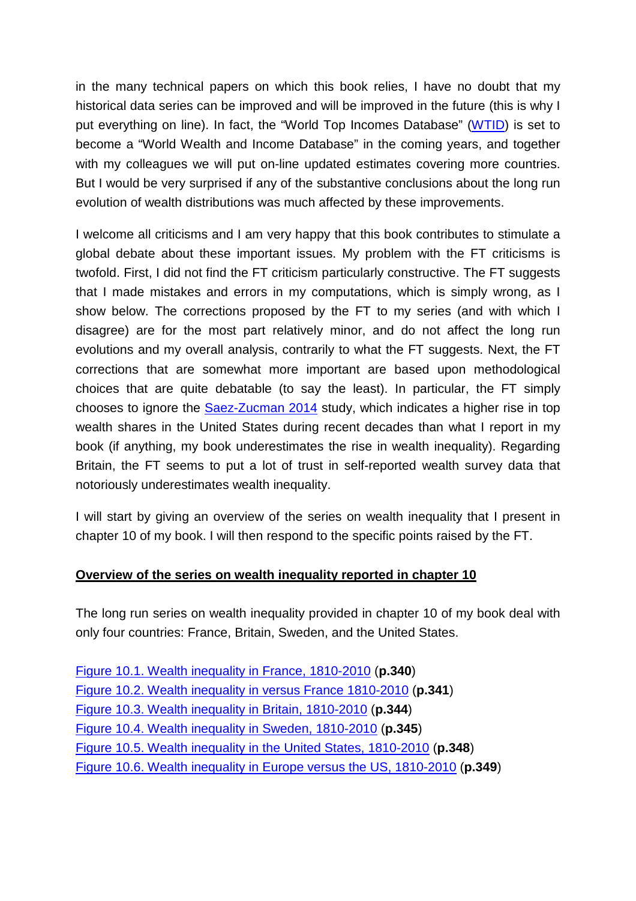in the many technical papers on which this book relies, I have no doubt that my historical data series can be improved and will be improved in the future (this is why I put everything on line). In fact, the "World Top Incomes Database" [\(WTID\)](http://topincomes.parisschoolofeconomics.eu/) is set to become a "World Wealth and Income Database" in the coming years, and together with my colleagues we will put on-line updated estimates covering more countries. But I would be very surprised if any of the substantive conclusions about the long run evolution of wealth distributions was much affected by these improvements.

I welcome all criticisms and I am very happy that this book contributes to stimulate a global debate about these important issues. My problem with the FT criticisms is twofold. First, I did not find the FT criticism particularly constructive. The FT suggests that I made mistakes and errors in my computations, which is simply wrong, as I show below. The corrections proposed by the FT to my series (and with which I disagree) are for the most part relatively minor, and do not affect the long run evolutions and my overall analysis, contrarily to what the FT suggests. Next, the FT corrections that are somewhat more important are based upon methodological choices that are quite debatable (to say the least). In particular, the FT simply chooses to ignore the [Saez-Zucman 2014](http://gabriel-zucman.eu/files/SaezZucman2014Slides.pdf) study, which indicates a higher rise in top wealth shares in the United States during recent decades than what I report in my book (if anything, my book underestimates the rise in wealth inequality). Regarding Britain, the FT seems to put a lot of trust in self-reported wealth survey data that notoriously underestimates wealth inequality.

I will start by giving an overview of the series on wealth inequality that I present in chapter 10 of my book. I will then respond to the specific points raised by the FT.

# **Overview of the series on wealth inequality reported in chapter 10**

The long run series on wealth inequality provided in chapter 10 of my book deal with only four countries: France, Britain, Sweden, and the United States.

[Figure 10.1. Wealth inequality in France, 1810-2010](http://piketty.pse.ens.fr/files/capital21c/en/pdf/F10.1.pdf) (**p.340**) [Figure 10.2. Wealth inequality in versus France 1810-2010](http://piketty.pse.ens.fr/files/capital21c/en/pdf/F10.2.pdf) (**p.341**) [Figure 10.3. Wealth inequality in Britain, 1810-2010](http://piketty.pse.ens.fr/files/capital21c/en/pdf/F10.3.pdf) (**p.344**) [Figure 10.4. Wealth inequality in Sweden, 1810-2010](http://piketty.pse.ens.fr/files/capital21c/en/pdf/F10.4.pdf) (**p.345**) [Figure 10.5. Wealth inequality in the United States, 1810-2010](http://piketty.pse.ens.fr/files/capital21c/en/pdf/F10.5.pdf) (**p.348**) [Figure 10.6. Wealth inequality in Europe versus the US, 1810-2010](http://piketty.pse.ens.fr/files/capital21c/en/pdf/F10.6.pdf) (**p.349**)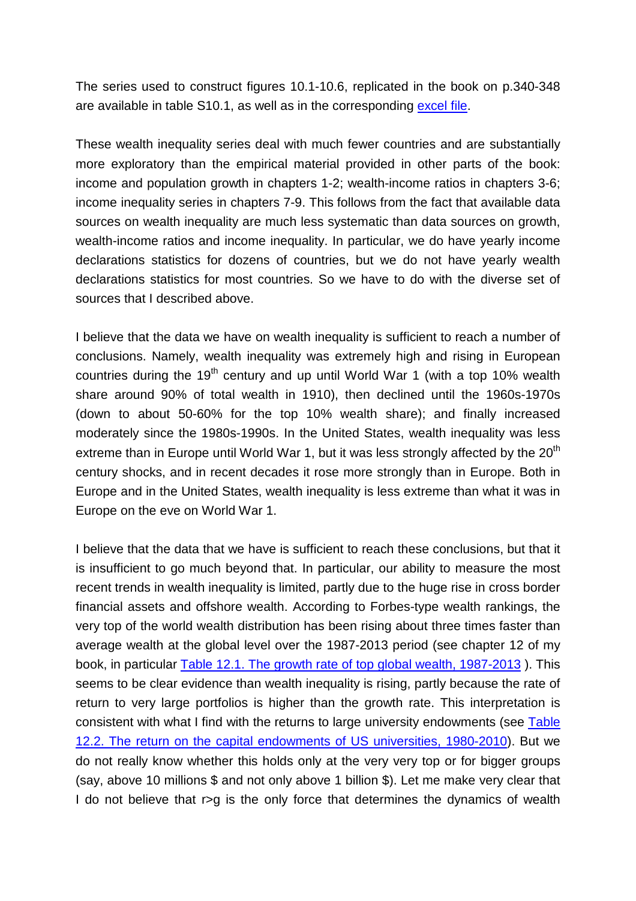The series used to construct figures 10.1-10.6, replicated in the book on p.340-348 are available in table S10.1, as well as in the corresponding [excel file.](http://piketty.pse.ens.fr/files/capital21c/en/xls/Chapter10TablesFigures.xlsx)

These wealth inequality series deal with much fewer countries and are substantially more exploratory than the empirical material provided in other parts of the book: income and population growth in chapters 1-2; wealth-income ratios in chapters 3-6; income inequality series in chapters 7-9. This follows from the fact that available data sources on wealth inequality are much less systematic than data sources on growth, wealth-income ratios and income inequality. In particular, we do have yearly income declarations statistics for dozens of countries, but we do not have yearly wealth declarations statistics for most countries. So we have to do with the diverse set of sources that I described above.

I believe that the data we have on wealth inequality is sufficient to reach a number of conclusions. Namely, wealth inequality was extremely high and rising in European countries during the 19<sup>th</sup> century and up until World War 1 (with a top 10% wealth share around 90% of total wealth in 1910), then declined until the 1960s-1970s (down to about 50-60% for the top 10% wealth share); and finally increased moderately since the 1980s-1990s. In the United States, wealth inequality was less extreme than in Europe until World War 1, but it was less strongly affected by the  $20<sup>th</sup>$ century shocks, and in recent decades it rose more strongly than in Europe. Both in Europe and in the United States, wealth inequality is less extreme than what it was in Europe on the eve on World War 1.

I believe that the data that we have is sufficient to reach these conclusions, but that it is insufficient to go much beyond that. In particular, our ability to measure the most recent trends in wealth inequality is limited, partly due to the huge rise in cross border financial assets and offshore wealth. According to Forbes-type wealth rankings, the very top of the world wealth distribution has been rising about three times faster than average wealth at the global level over the 1987-2013 period (see chapter 12 of my book, in particular [Table 12.1. The growth rate of top global wealth, 1987-2013](http://piketty.pse.ens.fr/files/capital21c/en/pdf/T12.1.pdf) ). This seems to be clear evidence than wealth inequality is rising, partly because the rate of return to very large portfolios is higher than the growth rate. This interpretation is consistent with what I find with the returns to large university endowments (see [Table](http://piketty.pse.ens.fr/files/capital21c/en/pdf/T12.2.pdf)  [12.2. The return on the capital endowments of US universities, 1980-2010\)](http://piketty.pse.ens.fr/files/capital21c/en/pdf/T12.2.pdf). But we do not really know whether this holds only at the very very top or for bigger groups (say, above 10 millions \$ and not only above 1 billion \$). Let me make very clear that I do not believe that r>g is the only force that determines the dynamics of wealth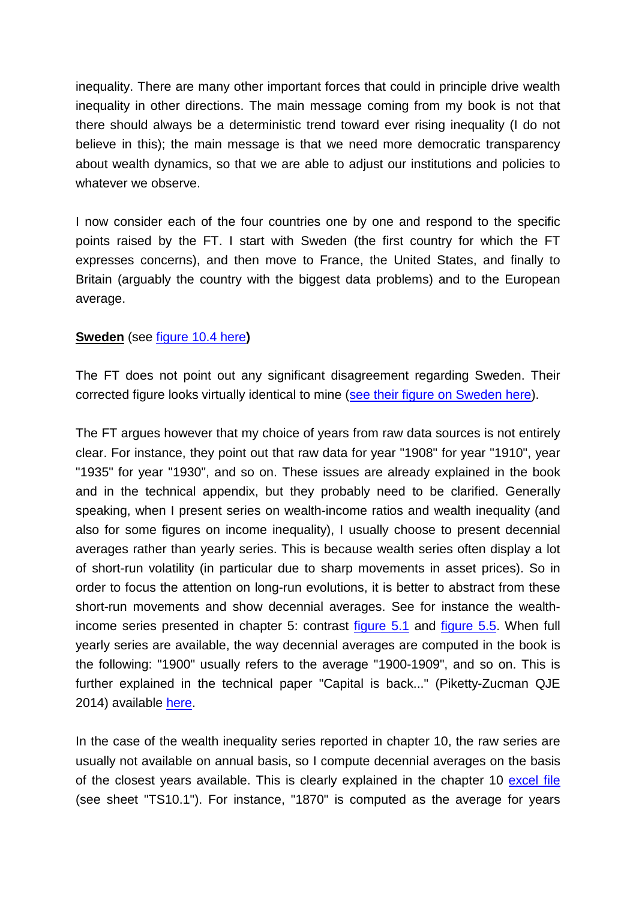inequality. There are many other important forces that could in principle drive wealth inequality in other directions. The main message coming from my book is not that there should always be a deterministic trend toward ever rising inequality (I do not believe in this); the main message is that we need more democratic transparency about wealth dynamics, so that we are able to adjust our institutions and policies to whatever we observe.

I now consider each of the four countries one by one and respond to the specific points raised by the FT. I start with Sweden (the first country for which the FT expresses concerns), and then move to France, the United States, and finally to Britain (arguably the country with the biggest data problems) and to the European average.

### **Sweden** (see [figure 10.4 here](http://piketty.pse.ens.fr/files/capital21c/en/pdf/F10.4.pdf)**)**

The FT does not point out any significant disagreement regarding Sweden. Their corrected figure looks virtually identical to mine [\(see their figure on Sweden here\)](http://piketty.pse.ens.fr/files/capital21c/en/media/FT23052014c.pdf).

The FT argues however that my choice of years from raw data sources is not entirely clear. For instance, they point out that raw data for year "1908" for year "1910", year "1935" for year "1930", and so on. These issues are already explained in the book and in the technical appendix, but they probably need to be clarified. Generally speaking, when I present series on wealth-income ratios and wealth inequality (and also for some figures on income inequality), I usually choose to present decennial averages rather than yearly series. This is because wealth series often display a lot of short-run volatility (in particular due to sharp movements in asset prices). So in order to focus the attention on long-run evolutions, it is better to abstract from these short-run movements and show decennial averages. See for instance the wealthincome series presented in chapter 5: contrast [figure 5.1](http://piketty.pse.ens.fr/files/capital21c/en/pdf/F5.1.pdf) and [figure 5.5.](http://piketty.pse.ens.fr/files/capital21c/en/pdf/F5.5.pdf) When full yearly series are available, the way decennial averages are computed in the book is the following: "1900" usually refers to the average "1900-1909", and so on. This is further explained in the technical paper "Capital is back..." (Piketty-Zucman QJE 2014) available [here.](http://piketty.pse.ens.fr/capitalisback)

In the case of the wealth inequality series reported in chapter 10, the raw series are usually not available on annual basis, so I compute decennial averages on the basis of the closest years available. This is clearly explained in the chapter 10 [excel file](http://piketty.pse.ens.fr/files/capital21c/en/xls/Chapter10TablesFigures.xlsx) (see sheet "TS10.1"). For instance, "1870" is computed as the average for years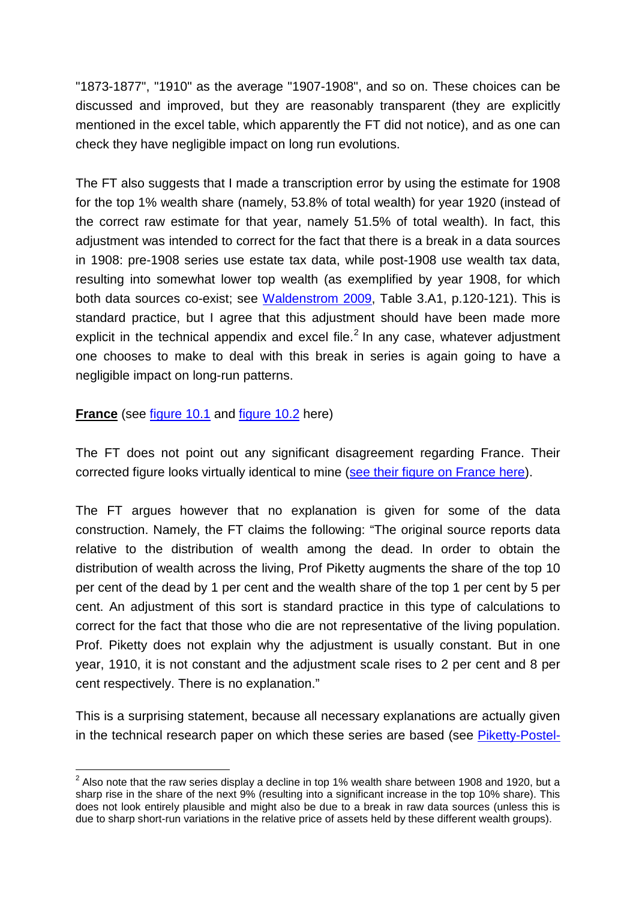"1873-1877", "1910" as the average "1907-1908", and so on. These choices can be discussed and improved, but they are reasonably transparent (they are explicitly mentioned in the excel table, which apparently the FT did not notice), and as one can check they have negligible impact on long run evolutions.

The FT also suggests that I made a transcription error by using the estimate for 1908 for the top 1% wealth share (namely, 53.8% of total wealth) for year 1920 (instead of the correct raw estimate for that year, namely 51.5% of total wealth). In fact, this adjustment was intended to correct for the fact that there is a break in a data sources in 1908: pre-1908 series use estate tax data, while post-1908 use wealth tax data, resulting into somewhat lower top wealth (as exemplified by year 1908, for which both data sources co-exist; see [Waldenstrom 2009,](http://piketty.pse.ens.fr/files/Waldenstrom2009.pdf) Table 3.A1, p.120-121). This is standard practice, but I agree that this adjustment should have been made more explicit in the technical appendix and excel file.<sup>[2](#page-4-0)</sup> In any case, whatever adjustment one chooses to make to deal with this break in series is again going to have a negligible impact on long-run patterns.

**France** (see [figure 10.1](http://piketty.pse.ens.fr/files/capital21c/en/pdf/F10.1.pdf) and [figure 10.2](http://piketty.pse.ens.fr/files/capital21c/en/pdf/F10.2.pdf) here)

The FT does not point out any significant disagreement regarding France. Their corrected figure looks virtually identical to mine [\(see their figure on France here\)](http://piketty.pse.ens.fr/files/capital21c/en/media/FT23052014c.pdf).

The FT argues however that no explanation is given for some of the data construction. Namely, the FT claims the following: "The original source reports data relative to the distribution of wealth among the dead. In order to obtain the distribution of wealth across the living, Prof Piketty augments the share of the top 10 per cent of the dead by 1 per cent and the wealth share of the top 1 per cent by 5 per cent. An adjustment of this sort is standard practice in this type of calculations to correct for the fact that those who die are not representative of the living population. Prof. Piketty does not explain why the adjustment is usually constant. But in one year, 1910, it is not constant and the adjustment scale rises to 2 per cent and 8 per cent respectively. There is no explanation."

This is a surprising statement, because all necessary explanations are actually given in the technical research paper on which these series are based (see [Piketty-Postel-](http://piketty.pse.ens.fr/fichiers/public/PikettyPostel2006.pdf)

<span id="page-4-0"></span> $2$  Also note that the raw series display a decline in top 1% wealth share between 1908 and 1920, but a sharp rise in the share of the next 9% (resulting into a significant increase in the top 10% share). This does not look entirely plausible and might also be due to a break in raw data sources (unless this is due to sharp short-run variations in the relative price of assets held by these different wealth groups).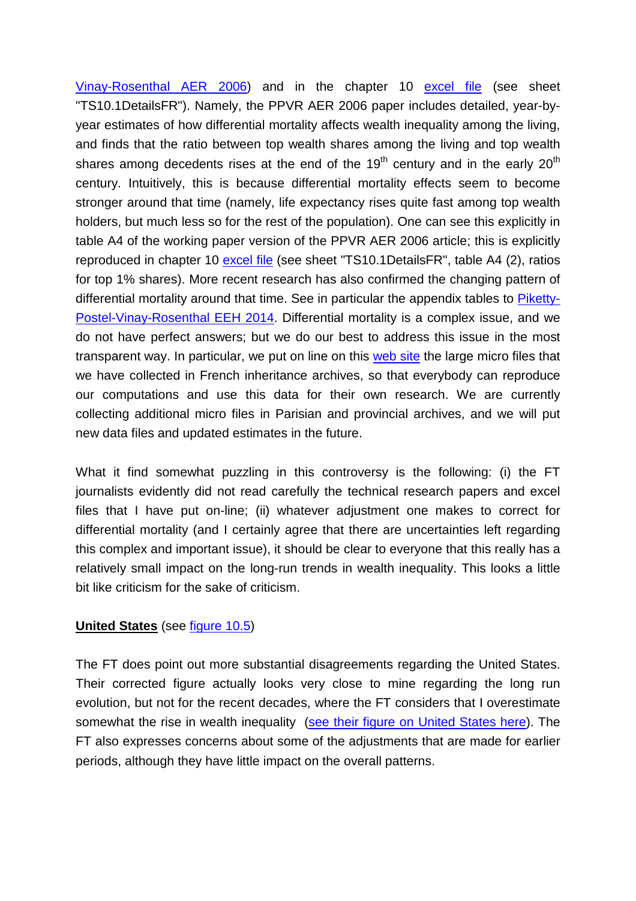Vinay-Rosenthal AER 2006) and in the chapter 10 [excel file](http://piketty.pse.ens.fr/files/capital21c/en/xls/Chapter10TablesFigures.xlsx) (see sheet "TS10.1DetailsFR"). Namely, the PPVR AER 2006 paper includes detailed, year-byyear estimates of how differential mortality affects wealth inequality among the living, and finds that the ratio between top wealth shares among the living and top wealth shares among decedents rises at the end of the  $19<sup>th</sup>$  century and in the early  $20<sup>th</sup>$ century. Intuitively, this is because differential mortality effects seem to become stronger around that time (namely, life expectancy rises quite fast among top wealth holders, but much less so for the rest of the population). One can see this explicitly in table A4 of the working paper version of the PPVR AER 2006 article; this is explicitly reproduced in chapter 10 [excel file](http://piketty.pse.ens.fr/files/capital21c/en/xls/Chapter10TablesFigures.xlsx) (see sheet "TS10.1DetailsFR", table A4 (2), ratios for top 1% shares). More recent research has also confirmed the changing pattern of differential mortality around that time. See in particular the appendix tables to [Piketty-](http://piketty.pse.ens.fr/rentiersociety/PPVR2011WP.pdf)[Postel-Vinay-Rosenthal EEH 2014.](http://piketty.pse.ens.fr/rentiersociety/PPVR2011WP.pdf) Differential mortality is a complex issue, and we do not have perfect answers; but we do our best to address this issue in the most transparent way. In particular, we put on line on this [web site](http://piketty.pse.ens.fr/rentiersociety/) the large micro files that we have collected in French inheritance archives, so that everybody can reproduce our computations and use this data for their own research. We are currently collecting additional micro files in Parisian and provincial archives, and we will put new data files and updated estimates in the future.

What it find somewhat puzzling in this controversy is the following: (i) the FT journalists evidently did not read carefully the technical research papers and excel files that I have put on-line; (ii) whatever adjustment one makes to correct for differential mortality (and I certainly agree that there are uncertainties left regarding this complex and important issue), it should be clear to everyone that this really has a relatively small impact on the long-run trends in wealth inequality. This looks a little bit like criticism for the sake of criticism.

# **United States** (see [figure 10.5\)](http://piketty.pse.ens.fr/files/capital21c/en/pdf/F10.5.pdf)

The FT does point out more substantial disagreements regarding the United States. Their corrected figure actually looks very close to mine regarding the long run evolution, but not for the recent decades, where the FT considers that I overestimate somewhat the rise in wealth inequality [\(see their figure on United States here\)](http://piketty.pse.ens.fr/files/capital21c/en/media/FT23052014c.pdf). The FT also expresses concerns about some of the adjustments that are made for earlier periods, although they have little impact on the overall patterns.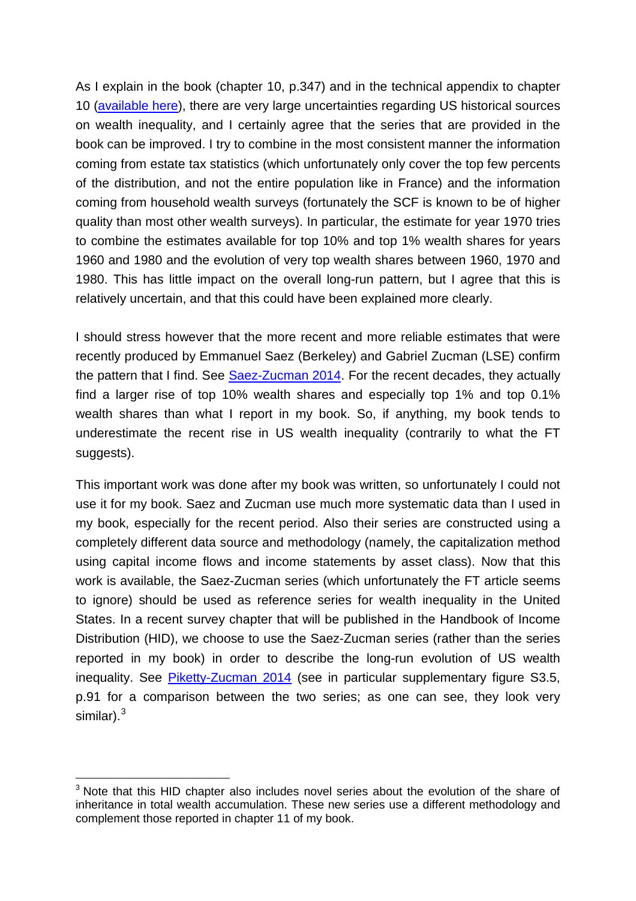As I explain in the book (chapter 10, p.347) and in the technical appendix to chapter 10 [\(available here\)](http://piketty.pse.ens.fr/files/capital21c/en/Piketty2014TechnicalAppendixChap10.pdf), there are very large uncertainties regarding US historical sources on wealth inequality, and I certainly agree that the series that are provided in the book can be improved. I try to combine in the most consistent manner the information coming from estate tax statistics (which unfortunately only cover the top few percents of the distribution, and not the entire population like in France) and the information coming from household wealth surveys (fortunately the SCF is known to be of higher quality than most other wealth surveys). In particular, the estimate for year 1970 tries to combine the estimates available for top 10% and top 1% wealth shares for years 1960 and 1980 and the evolution of very top wealth shares between 1960, 1970 and 1980. This has little impact on the overall long-run pattern, but I agree that this is relatively uncertain, and that this could have been explained more clearly.

I should stress however that the more recent and more reliable estimates that were recently produced by Emmanuel Saez (Berkeley) and Gabriel Zucman (LSE) confirm the pattern that I find. See **Saez-Zucman 2014**. For the recent decades, they actually find a larger rise of top 10% wealth shares and especially top 1% and top 0.1% wealth shares than what I report in my book. So, if anything, my book tends to underestimate the recent rise in US wealth inequality (contrarily to what the FT suggests).

This important work was done after my book was written, so unfortunately I could not use it for my book. Saez and Zucman use much more systematic data than I used in my book, especially for the recent period. Also their series are constructed using a completely different data source and methodology (namely, the capitalization method using capital income flows and income statements by asset class). Now that this work is available, the Saez-Zucman series (which unfortunately the FT article seems to ignore) should be used as reference series for wealth inequality in the United States. In a recent survey chapter that will be published in the Handbook of Income Distribution (HID), we choose to use the Saez-Zucman series (rather than the series reported in my book) in order to describe the long-run evolution of US wealth inequality. See [Piketty-Zucman 2014](http://piketty.pse.ens.fr/files/PikettyZucman2014HID.pdf) (see in particular supplementary figure S3.5, p.91 for a comparison between the two series; as one can see, they look very similar). $3$ 

<span id="page-6-0"></span> $\overline{a}$  $3$  Note that this HID chapter also includes novel series about the evolution of the share of inheritance in total wealth accumulation. These new series use a different methodology and complement those reported in chapter 11 of my book.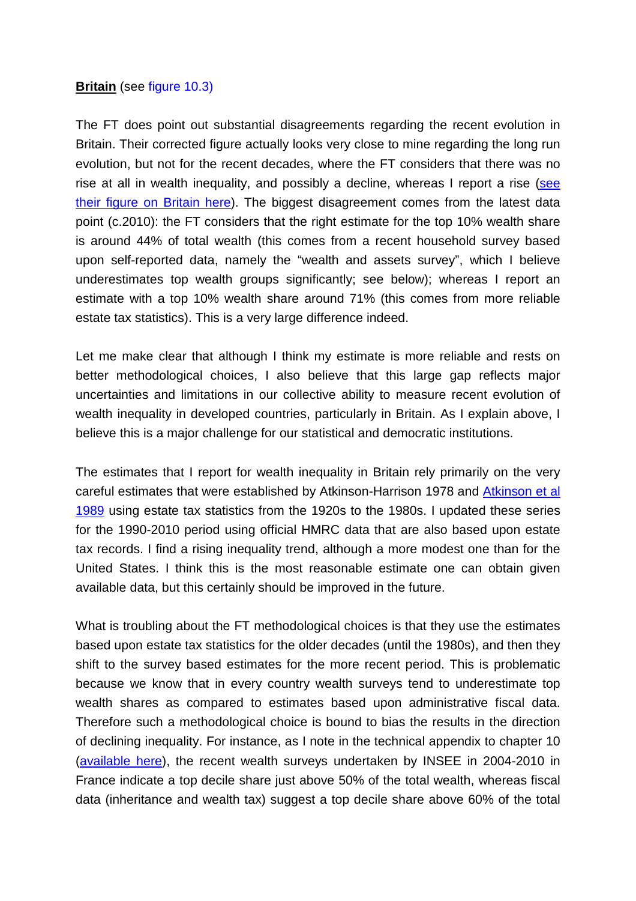### **Britain** (see [figure 10.3\)](http://piketty.pse.ens.fr/files/capital21c/en/pdf/F10.3.pdf)

The FT does point out substantial disagreements regarding the recent evolution in Britain. Their corrected figure actually looks very close to mine regarding the long run evolution, but not for the recent decades, where the FT considers that there was no rise at all in wealth inequality, and possibly a decline, whereas I report a rise (see [their figure on Britain here\)](http://piketty.pse.ens.fr/files/capital21c/en/media/FT23052014c.pdf). The biggest disagreement comes from the latest data point (c.2010): the FT considers that the right estimate for the top 10% wealth share is around 44% of total wealth (this comes from a recent household survey based upon self-reported data, namely the "wealth and assets survey", which I believe underestimates top wealth groups significantly; see below); whereas I report an estimate with a top 10% wealth share around 71% (this comes from more reliable estate tax statistics). This is a very large difference indeed.

Let me make clear that although I think my estimate is more reliable and rests on better methodological choices, I also believe that this large gap reflects major uncertainties and limitations in our collective ability to measure recent evolution of wealth inequality in developed countries, particularly in Britain. As I explain above, I believe this is a major challenge for our statistical and democratic institutions.

The estimates that I report for wealth inequality in Britain rely primarily on the very careful estimates that were established by Atkinson-Harrison 1978 and [Atkinson et al](http://piketty.pse.ens.fr/files/Atkinsonetal1989.pdf)  [1989](http://piketty.pse.ens.fr/files/Atkinsonetal1989.pdf) using estate tax statistics from the 1920s to the 1980s. I updated these series for the 1990-2010 period using official HMRC data that are also based upon estate tax records. I find a rising inequality trend, although a more modest one than for the United States. I think this is the most reasonable estimate one can obtain given available data, but this certainly should be improved in the future.

What is troubling about the FT methodological choices is that they use the estimates based upon estate tax statistics for the older decades (until the 1980s), and then they shift to the survey based estimates for the more recent period. This is problematic because we know that in every country wealth surveys tend to underestimate top wealth shares as compared to estimates based upon administrative fiscal data. Therefore such a methodological choice is bound to bias the results in the direction of declining inequality. For instance, as I note in the technical appendix to chapter 10 [\(available here\)](http://piketty.pse.ens.fr/files/capital21c/en/Piketty2014TechnicalAppendixChap10.pdf), the recent wealth surveys undertaken by INSEE in 2004-2010 in France indicate a top decile share just above 50% of the total wealth, whereas fiscal data (inheritance and wealth tax) suggest a top decile share above 60% of the total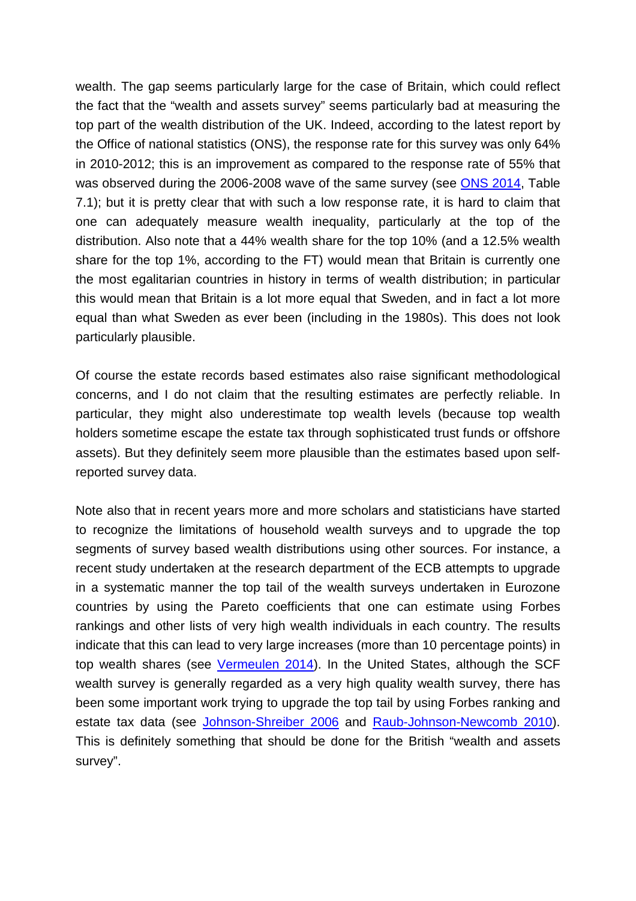wealth. The gap seems particularly large for the case of Britain, which could reflect the fact that the "wealth and assets survey" seems particularly bad at measuring the top part of the wealth distribution of the UK. Indeed, according to the latest report by the Office of national statistics (ONS), the response rate for this survey was only 64% in 2010-2012; this is an improvement as compared to the response rate of 55% that was observed during the 2006-2008 wave of the same survey (see [ONS 2014,](http://www.ons.gov.uk/ons/dcp171776_362830.pdf) Table 7.1); but it is pretty clear that with such a low response rate, it is hard to claim that one can adequately measure wealth inequality, particularly at the top of the distribution. Also note that a 44% wealth share for the top 10% (and a 12.5% wealth share for the top 1%, according to the FT) would mean that Britain is currently one the most egalitarian countries in history in terms of wealth distribution; in particular this would mean that Britain is a lot more equal that Sweden, and in fact a lot more equal than what Sweden as ever been (including in the 1980s). This does not look particularly plausible.

Of course the estate records based estimates also raise significant methodological concerns, and I do not claim that the resulting estimates are perfectly reliable. In particular, they might also underestimate top wealth levels (because top wealth holders sometime escape the estate tax through sophisticated trust funds or offshore assets). But they definitely seem more plausible than the estimates based upon selfreported survey data.

Note also that in recent years more and more scholars and statisticians have started to recognize the limitations of household wealth surveys and to upgrade the top segments of survey based wealth distributions using other sources. For instance, a recent study undertaken at the research department of the ECB attempts to upgrade in a systematic manner the top tail of the wealth surveys undertaken in Eurozone countries by using the Pareto coefficients that one can estimate using Forbes rankings and other lists of very high wealth individuals in each country. The results indicate that this can lead to very large increases (more than 10 percentage points) in top wealth shares (see [Vermeulen 2014\)](http://piketty.pse.ens.fr/files/Vermeulen2014.pdf). In the United States, although the SCF wealth survey is generally regarded as a very high quality wealth survey, there has been some important work trying to upgrade the top tail by using Forbes ranking and estate tax data (see [Johnson-Shreiber 2006](http://piketty.pse.ens.fr/files/JonhsonSchreiber2006.pdf) and [Raub-Johnson-Newcomb 2010\)](http://piketty.pse.ens.fr/files/RaubJohnsonNewcomb2010.pdf). This is definitely something that should be done for the British "wealth and assets survey".